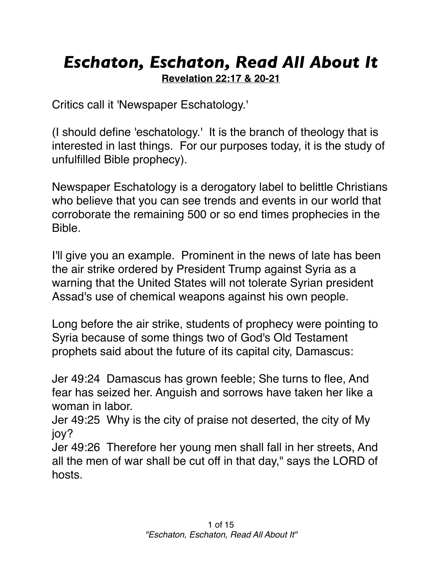## *Eschaton, Eschaton, Read All About It* **Revelation 22:17 & 20-21**

Critics call it 'Newspaper Eschatology.'

(I should define 'eschatology.' It is the branch of theology that is interested in last things. For our purposes today, it is the study of unfulfilled Bible prophecy).

Newspaper Eschatology is a derogatory label to belittle Christians who believe that you can see trends and events in our world that corroborate the remaining 500 or so end times prophecies in the Bible.

I'll give you an example. Prominent in the news of late has been the air strike ordered by President Trump against Syria as a warning that the United States will not tolerate Syrian president Assad's use of chemical weapons against his own people.

Long before the air strike, students of prophecy were pointing to Syria because of some things two of God's Old Testament prophets said about the future of its capital city, Damascus:

Jer 49:24 Damascus has grown feeble; She turns to flee, And fear has seized her. Anguish and sorrows have taken her like a woman in labor.

Jer 49:25 Why is the city of praise not deserted, the city of My joy?

Jer 49:26 Therefore her young men shall fall in her streets, And all the men of war shall be cut off in that day," says the LORD of hosts.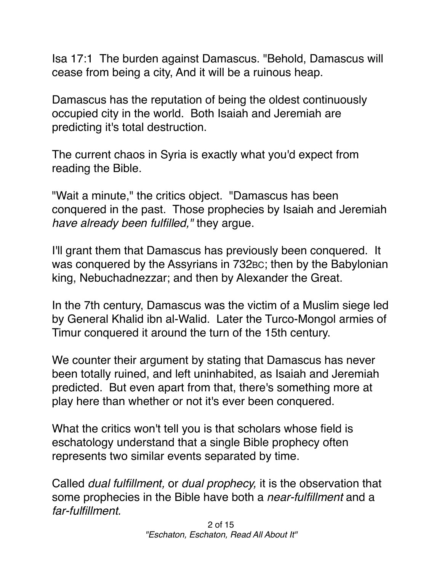Isa 17:1 The burden against Damascus. "Behold, Damascus will cease from being a city, And it will be a ruinous heap.

Damascus has the reputation of being the oldest continuously occupied city in the world. Both Isaiah and Jeremiah are predicting it's total destruction.

The current chaos in Syria is exactly what you'd expect from reading the Bible.

"Wait a minute," the critics object. "Damascus has been conquered in the past. Those prophecies by Isaiah and Jeremiah *have already been fulfilled,"* they argue.

I'll grant them that Damascus has previously been conquered. It was conquered by the Assyrians in 732BC; then by the Babylonian king, Nebuchadnezzar; and then by Alexander the Great.

In the 7th century, Damascus was the victim of a Muslim siege led by General Khalid ibn al-Walid. Later the Turco-Mongol armies of Timur conquered it around the turn of the 15th century.

We counter their argument by stating that Damascus has never been totally ruined, and left uninhabited, as Isaiah and Jeremiah predicted. But even apart from that, there's something more at play here than whether or not it's ever been conquered.

What the critics won't tell you is that scholars whose field is eschatology understand that a single Bible prophecy often represents two similar events separated by time.

Called *dual fulfillment,* or *dual prophecy,* it is the observation that some prophecies in the Bible have both a *near-fulfillment* and a *far-fulfillment.*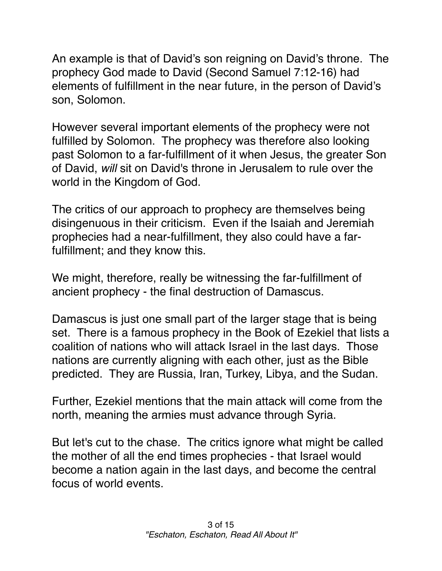An example is that of David's son reigning on David's throne. The prophecy God made to David (Second Samuel 7:12-16) had elements of fulfillment in the near future, in the person of David's son, Solomon.

However several important elements of the prophecy were not fulfilled by Solomon. The prophecy was therefore also looking past Solomon to a far-fulfillment of it when Jesus, the greater Son of David, *will* sit on David's throne in Jerusalem to rule over the world in the Kingdom of God.

The critics of our approach to prophecy are themselves being disingenuous in their criticism. Even if the Isaiah and Jeremiah prophecies had a near-fulfillment, they also could have a farfulfillment; and they know this.

We might, therefore, really be witnessing the far-fulfillment of ancient prophecy - the final destruction of Damascus.

Damascus is just one small part of the larger stage that is being set. There is a famous prophecy in the Book of Ezekiel that lists a coalition of nations who will attack Israel in the last days. Those nations are currently aligning with each other, just as the Bible predicted. They are Russia, Iran, Turkey, Libya, and the Sudan.

Further, Ezekiel mentions that the main attack will come from the north, meaning the armies must advance through Syria.

But let's cut to the chase. The critics ignore what might be called the mother of all the end times prophecies - that Israel would become a nation again in the last days, and become the central focus of world events.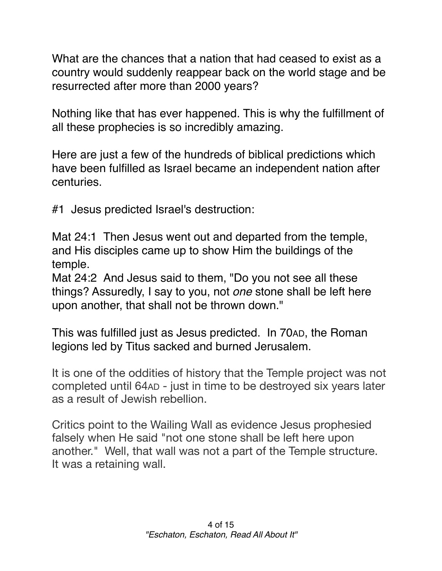What are the chances that a nation that had ceased to exist as a country would suddenly reappear back on the world stage and be resurrected after more than 2000 years?

Nothing like that has ever happened. This is why the fulfillment of all these prophecies is so incredibly amazing.

Here are just a few of the hundreds of biblical predictions which have been fulfilled as Israel became an independent nation after centuries.

#1 Jesus predicted Israel's destruction:

[Mat 24:1](verseid:40.24.1) Then Jesus went out and departed from the temple, and His disciples came up to show Him the buildings of the temple.

[Mat 24:2](verseid:40.24.2) And Jesus said to them, "Do you not see all these things? Assuredly, I say to you, not *one* stone shall be left here upon another, that shall not be thrown down."

This was fulfilled just as Jesus predicted. In 70AD, the Roman legions led by Titus sacked and burned Jerusalem.

It is one of the oddities of history that the Temple project was not completed until 64AD - just in time to be destroyed six years later as a result of Jewish rebellion.

Critics point to the Wailing Wall as evidence Jesus prophesied falsely when He said "not one stone shall be left here upon another." Well, that wall was not a part of the Temple structure. It was a retaining wall.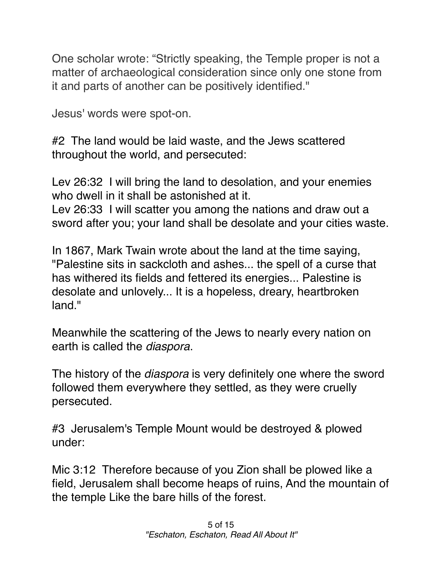One scholar wrote: "Strictly speaking, the Temple proper is not a matter of archaeological consideration since only one stone from it and parts of another can be positively identified."

Jesus' words were spot-on.

#2 The land would be laid waste, and the Jews scattered throughout the world, and persecuted:

Lev 26:32 I will bring the land to desolation, and your enemies who dwell in it shall be astonished at it. Lev 26:33 I will scatter you among the nations and draw out a sword after you; your land shall be desolate and your cities waste.

In 1867, Mark Twain wrote about the land at the time saying, "Palestine sits in sackcloth and ashes... the spell of a curse that has withered its fields and fettered its energies... Palestine is desolate and unlovely... It is a hopeless, dreary, heartbroken land."

Meanwhile the scattering of the Jews to nearly every nation on earth is called the *diaspora*.

The history of the *diaspora* is very definitely one where the sword followed them everywhere they settled, as they were cruelly persecuted.

#3 Jerusalem's Temple Mount would be destroyed & plowed under:

Mic 3:12 Therefore because of you Zion shall be plowed like a field, Jerusalem shall become heaps of ruins, And the mountain of the temple Like the bare hills of the forest.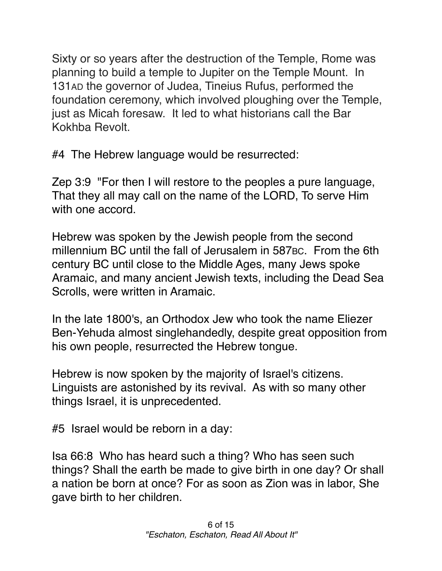Sixty or so years after the destruction of the Temple, Rome was planning to build a temple to Jupiter on the Temple Mount. In 131AD the governor of Judea, Tineius Rufus, performed the foundation ceremony, which involved ploughing over the Temple, just as Micah foresaw. It led to what historians call the Bar Kokhba Revolt.

#4 The Hebrew language would be resurrected:

Zep 3:9 "For then I will restore to the peoples a pure language, That they all may call on the name of the LORD, To serve Him with one accord.

Hebrew was spoken by the Jewish people from the second millennium BC until the fall of Jerusalem in 587BC. From the 6th century BC until close to the Middle Ages, many Jews spoke Aramaic, and many ancient Jewish texts, including the Dead Sea Scrolls, were written in Aramaic.

In the late 1800's, an Orthodox Jew who took the name Eliezer Ben-Yehuda almost singlehandedly, despite great opposition from his own people, resurrected the Hebrew tongue.

Hebrew is now spoken by the majority of Israel's citizens. Linguists are astonished by its revival. As with so many other things Israel, it is unprecedented.

#5 Israel would be reborn in a day:

Isa 66:8 Who has heard such a thing? Who has seen such things? Shall the earth be made to give birth in one day? Or shall a nation be born at once? For as soon as Zion was in labor, She gave birth to her children.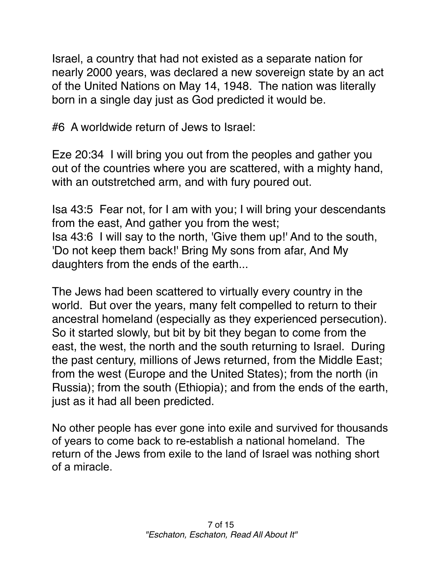Israel, a country that had not existed as a separate nation for nearly 2000 years, was declared a new sovereign state by an act of the United Nations on May 14, 1948. The nation was literally born in a single day just as God predicted it would be.

#6 A worldwide return of Jews to Israel:

Eze 20:34 I will bring you out from the peoples and gather you out of the countries where you are scattered, with a mighty hand, with an outstretched arm, and with fury poured out.

Isa 43:5 Fear not, for I am with you; I will bring your descendants from the east, And gather you from the west; Isa 43:6 I will say to the north, 'Give them up!' And to the south, 'Do not keep them back!' Bring My sons from afar, And My daughters from the ends of the earth...

The Jews had been scattered to virtually every country in the world. But over the years, many felt compelled to return to their ancestral homeland (especially as they experienced persecution). So it started slowly, but bit by bit they began to come from the east, the west, the north and the south returning to Israel. During the past century, millions of Jews returned, from the Middle East; from the west (Europe and the United States); from the north (in Russia); from the south (Ethiopia); and from the ends of the earth, just as it had all been predicted.

No other people has ever gone into exile and survived for thousands of years to come back to re-establish a national homeland. The return of the Jews from exile to the land of Israel was nothing short of a miracle.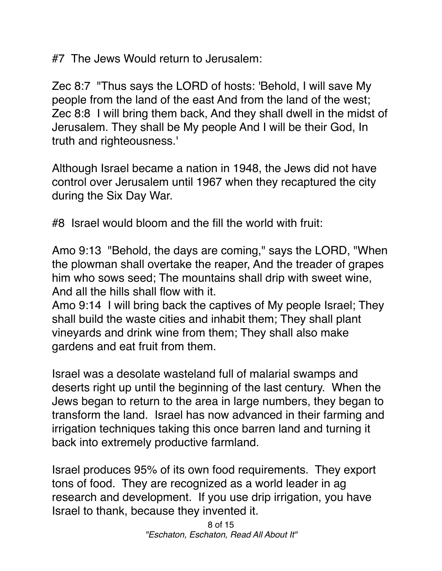#7 The Jews Would return to Jerusalem:

Zec 8:7 "Thus says the LORD of hosts: 'Behold, I will save My people from the land of the east And from the land of the west; Zec 8:8 I will bring them back, And they shall dwell in the midst of Jerusalem. They shall be My people And I will be their God, In truth and righteousness.'

Although Israel became a nation in 1948, the Jews did not have control over Jerusalem until 1967 when they recaptured the city during the Six Day War.

#8 Israel would bloom and the fill the world with fruit:

Amo 9:13 "Behold, the days are coming," says the LORD, "When the plowman shall overtake the reaper, And the treader of grapes him who sows seed; The mountains shall drip with sweet wine, And all the hills shall flow with it.

Amo 9:14 I will bring back the captives of My people Israel; They shall build the waste cities and inhabit them; They shall plant vineyards and drink wine from them; They shall also make gardens and eat fruit from them.

Israel was a desolate wasteland full of malarial swamps and deserts right up until the beginning of the last century. When the Jews began to return to the area in large numbers, they began to transform the land. Israel has now advanced in their farming and irrigation techniques taking this once barren land and turning it back into extremely productive farmland.

Israel produces 95% of its own food requirements. They export tons of food. They are recognized as a world leader in ag research and development. If you use drip irrigation, you have Israel to thank, because they invented it.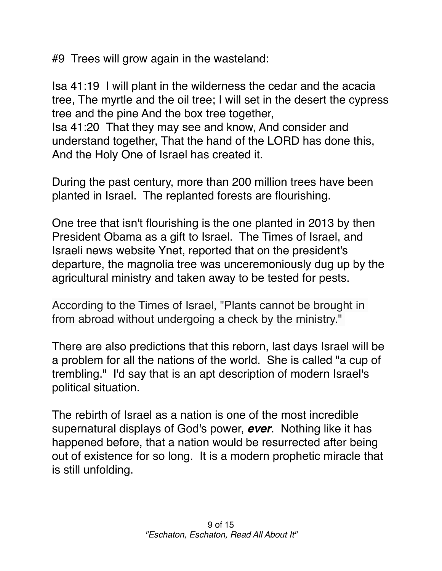#9 Trees will grow again in the wasteland:

Isa 41:19 I will plant in the wilderness the cedar and the acacia tree, The myrtle and the oil tree; I will set in the desert the cypress tree and the pine And the box tree together, Isa 41:20 That they may see and know, And consider and understand together, That the hand of the LORD has done this, And the Holy One of Israel has created it.

During the past century, more than 200 million trees have been planted in Israel. The replanted forests are flourishing.

One tree that isn't flourishing is the one planted in 2013 by then President Obama as a gift to Israel. The Times of Israel, and Israeli news website Ynet, reported that on the president's departure, the magnolia tree was unceremoniously dug up by the agricultural ministry and taken away to be tested for pests.

According to the Times of Israel, "Plants cannot be brought in from abroad without undergoing a check by the ministry."

There are also predictions that this reborn, last days Israel will be a problem for all the nations of the world. She is called "a cup of trembling." I'd say that is an apt description of modern Israel's political situation.

The rebirth of Israel as a nation is one of the most incredible supernatural displays of God's power, *ever*. Nothing like it has happened before, that a nation would be resurrected after being out of existence for so long. It is a modern prophetic miracle that is still unfolding.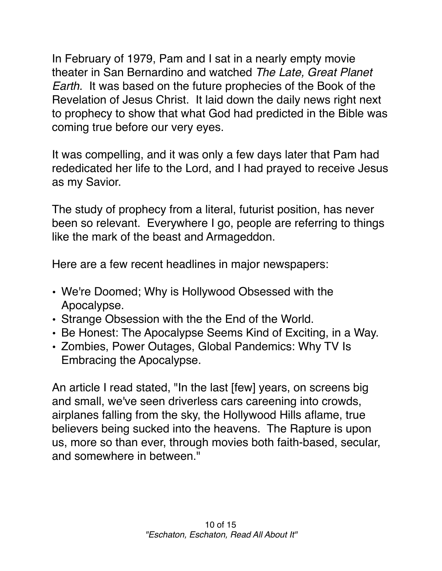In February of 1979, Pam and I sat in a nearly empty movie theater in San Bernardino and watched *The Late, Great Planet Earth.* It was based on the future prophecies of the Book of the Revelation of Jesus Christ. It laid down the daily news right next to prophecy to show that what God had predicted in the Bible was coming true before our very eyes.

It was compelling, and it was only a few days later that Pam had rededicated her life to the Lord, and I had prayed to receive Jesus as my Savior.

The study of prophecy from a literal, futurist position, has never been so relevant. Everywhere I go, people are referring to things like the mark of the beast and Armageddon.

Here are a few recent headlines in major newspapers:

- We're Doomed; Why is Hollywood Obsessed with the Apocalypse.
- Strange Obsession with the the End of the World.
- Be Honest: The Apocalypse Seems Kind of Exciting, in a Way.
- Zombies, Power Outages, Global Pandemics: Why TV Is Embracing the Apocalypse.

An article I read stated, "In the last [few] years, on screens big and small, we've seen driverless cars careening into crowds, airplanes falling from the sky, the Hollywood Hills aflame, true believers being sucked into the heavens. The Rapture is upon us, more so than ever, through movies both faith-based, secular, and somewhere in between."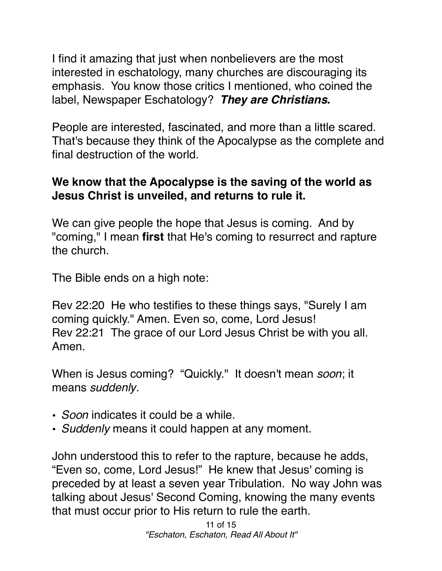I find it amazing that just when nonbelievers are the most interested in eschatology, many churches are discouraging its emphasis. You know those critics I mentioned, who coined the label, Newspaper Eschatology? *They are Christians.*

People are interested, fascinated, and more than a little scared. That's because they think of the Apocalypse as the complete and final destruction of the world.

## **We know that the Apocalypse is the saving of the world as Jesus Christ is unveiled, and returns to rule it.**

We can give people the hope that Jesus is coming. And by "coming," I mean **first** that He's coming to resurrect and rapture the church.

The Bible ends on a high note:

Rev 22:20 He who testifies to these things says, "Surely I am coming quickly." Amen. Even so, come, Lord Jesus! Rev 22:21 The grace of our Lord Jesus Christ be with you all. Amen.

When is Jesus coming? "Quickly." It doesn't mean *soon*; it means *suddenly*.

- *Soon* indicates it could be a while.
- *Suddenly* means it could happen at any moment.

John understood this to refer to the rapture, because he adds, "Even so, come, Lord Jesus!" He knew that Jesus' coming is preceded by at least a seven year Tribulation. No way John was talking about Jesus' Second Coming, knowing the many events that must occur prior to His return to rule the earth.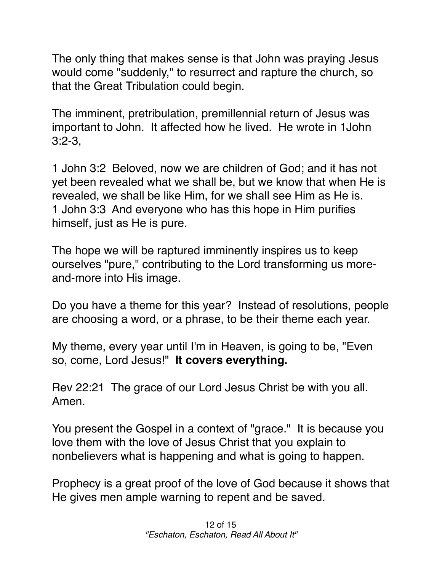The only thing that makes sense is that John was praying Jesus would come "suddenly," to resurrect and rapture the church, so that the Great Tribulation could begin.

The imminent, pretribulation, premillennial return of Jesus was important to John. It affected how he lived. He wrote in 1John 3:2-3,

1 John 3:2 Beloved, now we are children of God; and it has not yet been revealed what we shall be, but we know that when He is revealed, we shall be like Him, for we shall see Him as He is. 1 John 3:3 And everyone who has this hope in Him purifies himself, just as He is pure.

The hope we will be raptured imminently inspires us to keep ourselves "pure," contributing to the Lord transforming us moreand-more into His image.

Do you have a theme for this year? Instead of resolutions, people are choosing a word, or a phrase, to be their theme each year.

My theme, every year until I'm in Heaven, is going to be, "Even so, come, Lord Jesus!" **It covers everything.**

Rev 22:21 The grace of our Lord Jesus Christ be with you all. Amen.

You present the Gospel in a context of "grace." It is because you love them with the love of Jesus Christ that you explain to nonbelievers what is happening and what is going to happen.

Prophecy is a great proof of the love of God because it shows that He gives men ample warning to repent and be saved.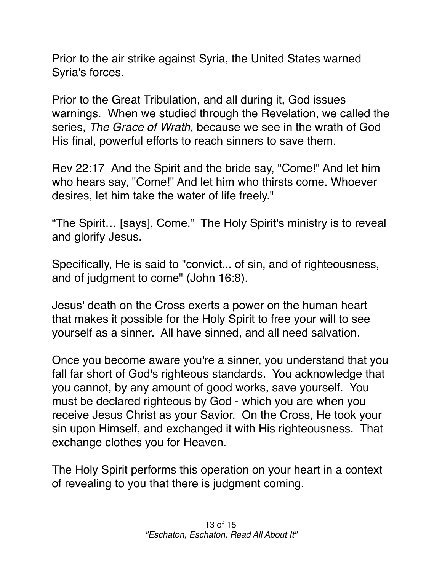Prior to the air strike against Syria, the United States warned Syria's forces.

Prior to the Great Tribulation, and all during it, God issues warnings. When we studied through the Revelation, we called the series, *The Grace of Wrath,* because we see in the wrath of God His final, powerful efforts to reach sinners to save them.

[Rev 22:17](verseid:66.22.17) And the Spirit and the bride say, "Come!" And let him who hears say, "Come!" And let him who thirsts come. Whoever desires, let him take the water of life freely."

"The Spirit… [says], Come." The Holy Spirit's ministry is to reveal and glorify Jesus.

Specifically, He is said to "convict... of sin, and of righteousness, and of judgment to come" (John 16:8).

Jesus' death on the Cross exerts a power on the human heart that makes it possible for the Holy Spirit to free your will to see yourself as a sinner. All have sinned, and all need salvation.

Once you become aware you're a sinner, you understand that you fall far short of God's righteous standards. You acknowledge that you cannot, by any amount of good works, save yourself. You must be declared righteous by God - which you are when you receive Jesus Christ as your Savior. On the Cross, He took your sin upon Himself, and exchanged it with His righteousness. That exchange clothes you for Heaven.

The Holy Spirit performs this operation on your heart in a context of revealing to you that there is judgment coming.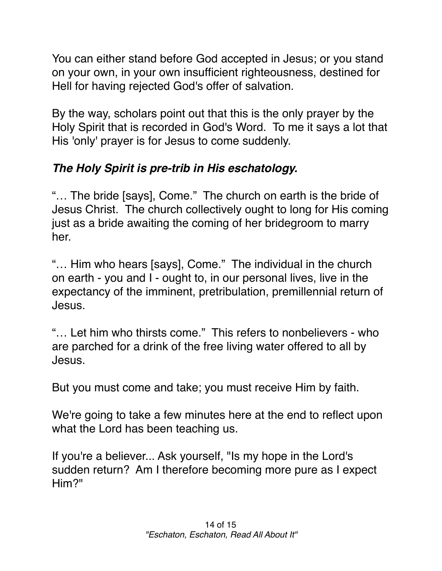You can either stand before God accepted in Jesus; or you stand on your own, in your own insufficient righteousness, destined for Hell for having rejected God's offer of salvation.

By the way, scholars point out that this is the only prayer by the Holy Spirit that is recorded in God's Word. To me it says a lot that His 'only' prayer is for Jesus to come suddenly.

## *The Holy Spirit is pre-trib in His eschatology.*

"… The bride [says], Come." The church on earth is the bride of Jesus Christ. The church collectively ought to long for His coming just as a bride awaiting the coming of her bridegroom to marry her.

"… Him who hears [says], Come." The individual in the church on earth - you and I - ought to, in our personal lives, live in the expectancy of the imminent, pretribulation, premillennial return of Jesus.

"… Let him who thirsts come." This refers to nonbelievers - who are parched for a drink of the free living water offered to all by Jesus.

But you must come and take; you must receive Him by faith.

We're going to take a few minutes here at the end to reflect upon what the Lord has been teaching us.

If you're a believer... Ask yourself, "Is my hope in the Lord's sudden return? Am I therefore becoming more pure as I expect Him?"